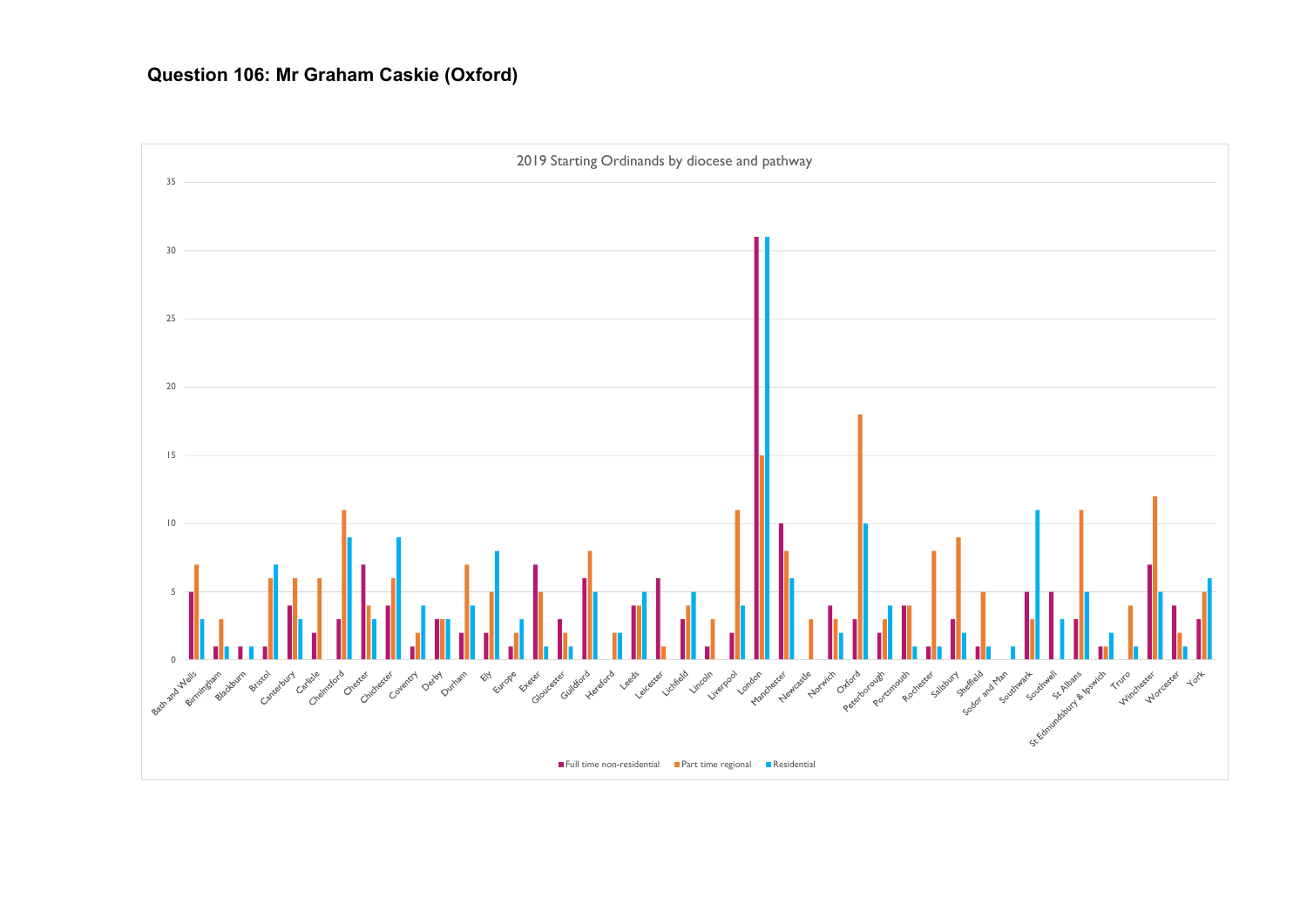## **Question 106: Mr Graham Caskie (Oxford)**